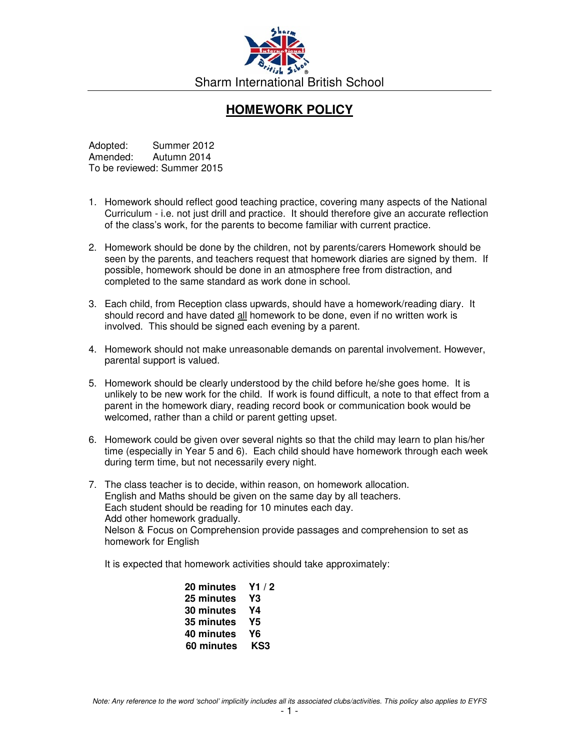

## **HOMEWORK POLICY**

Adopted: Summer 2012<br>Amended: Autumn 2014 Autumn 2014 To be reviewed: Summer 2015

- 1. Homework should reflect good teaching practice, covering many aspects of the National Curriculum - i.e. not just drill and practice. It should therefore give an accurate reflection of the class's work, for the parents to become familiar with current practice.
- 2. Homework should be done by the children, not by parents/carers Homework should be seen by the parents, and teachers request that homework diaries are signed by them. If possible, homework should be done in an atmosphere free from distraction, and completed to the same standard as work done in school.
- 3. Each child, from Reception class upwards, should have a homework/reading diary. It should record and have dated all homework to be done, even if no written work is involved. This should be signed each evening by a parent.
- 4. Homework should not make unreasonable demands on parental involvement. However, parental support is valued.
- 5. Homework should be clearly understood by the child before he/she goes home. It is unlikely to be new work for the child. If work is found difficult, a note to that effect from a parent in the homework diary, reading record book or communication book would be welcomed, rather than a child or parent getting upset.
- 6. Homework could be given over several nights so that the child may learn to plan his/her time (especially in Year 5 and 6). Each child should have homework through each week during term time, but not necessarily every night.
- 7. The class teacher is to decide, within reason, on homework allocation. English and Maths should be given on the same day by all teachers. Each student should be reading for 10 minutes each day. Add other homework gradually. Nelson & Focus on Comprehension provide passages and comprehension to set as homework for English

It is expected that homework activities should take approximately:

| 20 minutes $Y1/2$ |  |
|-------------------|--|
| 25 minutes Y3     |  |
| 30 minutes Y4     |  |
| 35 minutes Y5     |  |
| 40 minutes Y6     |  |
| 60 minutes KS3    |  |